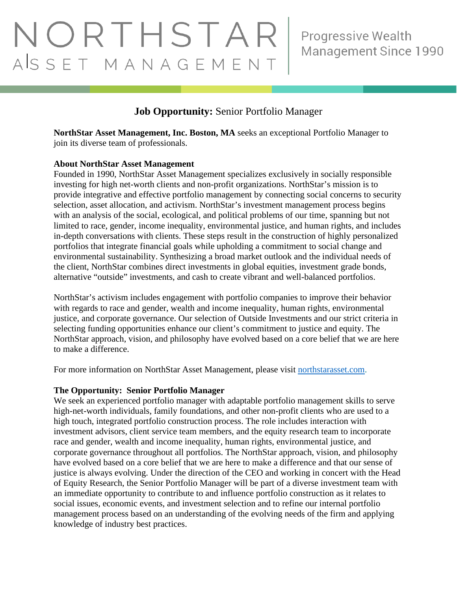# NORTHSTAR ASSET MANAGEMENT

# **Job Opportunity:** Senior Portfolio Manager

**NorthStar Asset Management, Inc. Boston, MA** seeks an exceptional Portfolio Manager to join its diverse team of professionals.

#### **About NorthStar Asset Management**

Founded in 1990, NorthStar Asset Management specializes exclusively in socially responsible investing for high net-worth clients and non-profit organizations. NorthStar's mission is to provide integrative and effective portfolio management by connecting social concerns to security selection, asset allocation, and activism. NorthStar's investment management process begins with an analysis of the social, ecological, and political problems of our time, spanning but not limited to race, gender, income inequality, environmental justice, and human rights, and includes in-depth conversations with clients. These steps result in the construction of highly personalized portfolios that integrate financial goals while upholding a commitment to social change and environmental sustainability. Synthesizing a broad market outlook and the individual needs of the client, NorthStar combines direct investments in global equities, investment grade bonds, alternative "outside" investments, and cash to create vibrant and well-balanced portfolios.

NorthStar's activism includes engagement with portfolio companies to improve their behavior with regards to race and gender, wealth and income inequality, human rights, environmental justice, and corporate governance. Our selection of Outside Investments and our strict criteria in selecting funding opportunities enhance our client's commitment to justice and equity. The NorthStar approach, vision, and philosophy have evolved based on a core belief that we are here to make a difference.

For more information on NorthStar Asset Management, please visit [northstarasset.com.](https://northstarasset.com/)

# **The Opportunity: Senior Portfolio Manager**

We seek an experienced portfolio manager with adaptable portfolio management skills to serve high-net-worth individuals, family foundations, and other non-profit clients who are used to a high touch, integrated portfolio construction process. The role includes interaction with investment advisors, client service team members, and the equity research team to incorporate race and gender, wealth and income inequality, human rights, environmental justice, and corporate governance throughout all portfolios. The NorthStar approach, vision, and philosophy have evolved based on a core belief that we are here to make a difference and that our sense of justice is always evolving. Under the direction of the CEO and working in concert with the Head of Equity Research, the Senior Portfolio Manager will be part of a diverse investment team with an immediate opportunity to contribute to and influence portfolio construction as it relates to social issues, economic events, and investment selection and to refine our internal portfolio management process based on an understanding of the evolving needs of the firm and applying knowledge of industry best practices.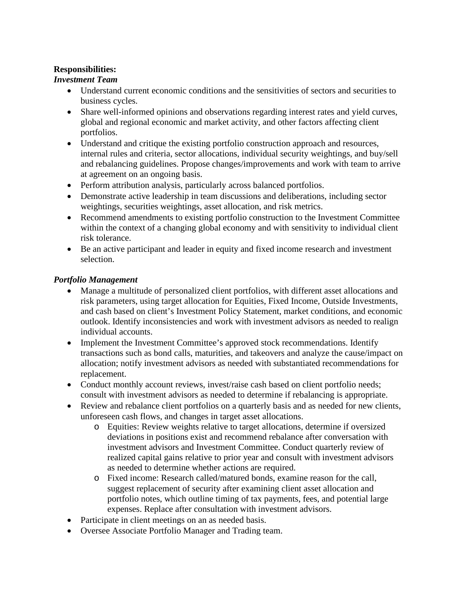# **Responsibilities:**

# *Investment Team*

- Understand current economic conditions and the sensitivities of sectors and securities to business cycles.
- Share well-informed opinions and observations regarding interest rates and yield curves, global and regional economic and market activity, and other factors affecting client portfolios.
- Understand and critique the existing portfolio construction approach and resources, internal rules and criteria, sector allocations, individual security weightings, and buy/sell and rebalancing guidelines. Propose changes/improvements and work with team to arrive at agreement on an ongoing basis.
- Perform attribution analysis, particularly across balanced portfolios.
- Demonstrate active leadership in team discussions and deliberations, including sector weightings, securities weightings, asset allocation, and risk metrics.
- Recommend amendments to existing portfolio construction to the Investment Committee within the context of a changing global economy and with sensitivity to individual client risk tolerance.
- Be an active participant and leader in equity and fixed income research and investment selection.

# *Portfolio Management*

- Manage a multitude of personalized client portfolios, with different asset allocations and risk parameters, using target allocation for Equities, Fixed Income, Outside Investments, and cash based on client's Investment Policy Statement, market conditions, and economic outlook. Identify inconsistencies and work with investment advisors as needed to realign individual accounts.
- Implement the Investment Committee's approved stock recommendations. Identify transactions such as bond calls, maturities, and takeovers and analyze the cause/impact on allocation; notify investment advisors as needed with substantiated recommendations for replacement.
- Conduct monthly account reviews, invest/raise cash based on client portfolio needs; consult with investment advisors as needed to determine if rebalancing is appropriate.
- Review and rebalance client portfolios on a quarterly basis and as needed for new clients, unforeseen cash flows, and changes in target asset allocations.
	- o Equities: Review weights relative to target allocations, determine if oversized deviations in positions exist and recommend rebalance after conversation with investment advisors and Investment Committee. Conduct quarterly review of realized capital gains relative to prior year and consult with investment advisors as needed to determine whether actions are required.
	- o Fixed income: Research called/matured bonds, examine reason for the call, suggest replacement of security after examining client asset allocation and portfolio notes, which outline timing of tax payments, fees, and potential large expenses. Replace after consultation with investment advisors.
- Participate in client meetings on an as needed basis.
- Oversee Associate Portfolio Manager and Trading team.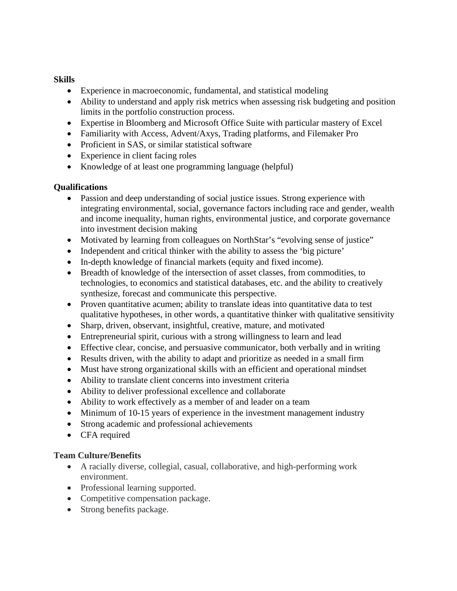#### **Skills**

- Experience in macroeconomic, fundamental, and statistical modeling
- Ability to understand and apply risk metrics when assessing risk budgeting and position limits in the portfolio construction process.
- Expertise in Bloomberg and Microsoft Office Suite with particular mastery of Excel
- Familiarity with Access, Advent/Axys, Trading platforms, and Filemaker Pro
- Proficient in SAS, or similar statistical software
- Experience in client facing roles
- Knowledge of at least one programming language (helpful)

# **Qualifications**

- Passion and deep understanding of social justice issues. Strong experience with integrating environmental, social, governance factors including race and gender, wealth and income inequality, human rights, environmental justice, and corporate governance into investment decision making
- Motivated by learning from colleagues on NorthStar's "evolving sense of justice"
- Independent and critical thinker with the ability to assess the 'big picture'
- In-depth knowledge of financial markets (equity and fixed income).
- Breadth of knowledge of the intersection of asset classes, from commodities, to technologies, to economics and statistical databases, etc. and the ability to creatively synthesize, forecast and communicate this perspective.
- Proven quantitative acumen; ability to translate ideas into quantitative data to test qualitative hypotheses, in other words, a quantitative thinker with qualitative sensitivity
- Sharp, driven, observant, insightful, creative, mature, and motivated
- Entrepreneurial spirit, curious with a strong willingness to learn and lead
- Effective clear, concise, and persuasive communicator, both verbally and in writing
- Results driven, with the ability to adapt and prioritize as needed in a small firm
- Must have strong organizational skills with an efficient and operational mindset
- Ability to translate client concerns into investment criteria
- Ability to deliver professional excellence and collaborate
- Ability to work effectively as a member of and leader on a team
- Minimum of 10-15 years of experience in the investment management industry
- Strong academic and professional achievements
- CFA required

# **Team Culture/Benefits**

- A racially diverse, collegial, casual, collaborative, and high-performing work environment.
- Professional learning supported.
- Competitive compensation package.
- Strong benefits package.